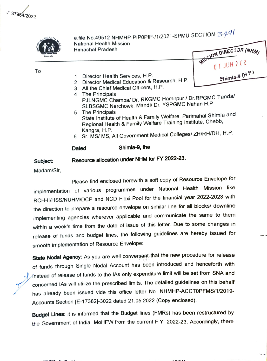/137954/2022



e file No.49512 NHMHP-PIP0PIP-/1/2021-SPMU SECTION- $\mathbb{Z}\mathcal{A}\mathcal{A}$ National Health Mission Himachal Pradesh ATSCON DIRECTOR (NHM)

01 JUN 212

Shimla-9 (H.P.)

To

- 1 Director Health Services, H.P.
- 2 Director Medical Education & Research, H.P.
- 3 All the Chief Medical Officers, H.P.<br>4 The Principals
- 4 The Principals<br>PJLNGMC Chamba/ Dr. RKGMC Hamirpur / Dr.RPGMC Tanda/ SLBSGMC Nerchowk, Mandi/ Dr. YSPGMC Nahan H.P.
- 5 The Principals The Principals State Institute of Health & Family Welfare, Parimahal Shimla and Regional Health & Family Wefare Training Institute, Chebb, Kangra, H.P.
- 6 Sr. MS/ MS, All Government Medical Colleges/ ZH/RH/DH, H.P.

## Dated Shimla-9, the

## Subject: Resource allocation under NHM for FY 2022-23.

Madam/Sir,

Please find enclosed herewith a soft copy of Resource Envelope for implementation of various programmes under National Health Mission like RCH-I1/HSS/NUHM/DCP and NCD Flexi Pool for the financial year 2022-2023 with the direction to prepare a resource envelope on similar line for all blocks/ downline implementing agencies wherever applicable and communicate the same to them within a week's time from the date of issue of this letter. Due to some changes in release of funds and budget lines, the following guidelines are hereby issued for smooth implementation of Resource Envelope:

State Nodal Agency: As you are well conversant that the new procedure for release of funds through Single Nodal Account has been introduced and henceforth with Instead of release of funds to the IAs only expenditure limit will be set from SNA and concerned IAs will utilize the prescribed limits. The detailed guidelines on this behalf has already been issued vide this office letter No. NHMHP-ACCTOPFMS/1/2019 Accounts Section [E-17382]-3022 dated 21.05.2022 (Copy enclosed).

**Budget Lines**: it is informed that the Budget lines (FMRs) has been restructured by the Government of India, MoHFW from the current F.Y. 2022-23. Accordingly, there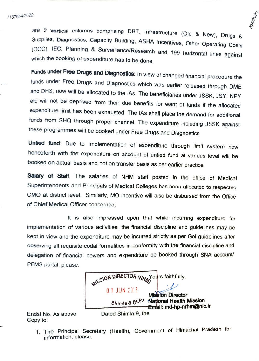are 9 vertical columns comprising DBT, Infrastructure (Old & New), Drugs & Supplies, Diagnostics, Capacity Building, ASHA Incentives, Other Operating Costs (OOC). IEC, Planning & Surveillance/Research and 199 horizontal li

Funds under Free Drugs and Diagnostics: In view of changed financial procedure the funds under Free Drugs and Diagnostics which was earlier released through DME and DHS. now will be allocated to the lAs. The beneficiaries under JSSK, JSY, NPY etc will not be deprived from their due benefits for want of funds if the allocated expenditure limit has been exhausted. The lAs shall place the demand for additional funds from SHQ through proper channel. The expenditure including JSSK against these programmes will be booked under Free Drugs and Diagnostics.

Untied fund: Due to implementation of expenditure through limit system now henceforth with the expenditure on account of untied fund at various level will be booked on actual basis and not on transfer basis as per earlier practice.

Salary of Staff: The salaries of NHM staff posted in the office of Medical Superintendents and Principals of Medical Colleges has been allocated to respected CMO at district level. Similarly, MO incentive will also be disbursed from the Office of Chief Medical Officer concerned.

It is also impressed upon that while incurring expenditure for implementation of various activities, the financial discipline and guidelines may be kept in view and the expenditure may be incurred strictly as per Gol guidelines after observing all requisite codal formalities in conformity with the financial discipline and delegation of financial powers and expenditure be booked through SNA account PFMS portal, please.



Copy to:

Endst No. As above Dated Shimla-9, the

1. The Principal Secretary (Health), Government of Himachal Pradesh for information, please.